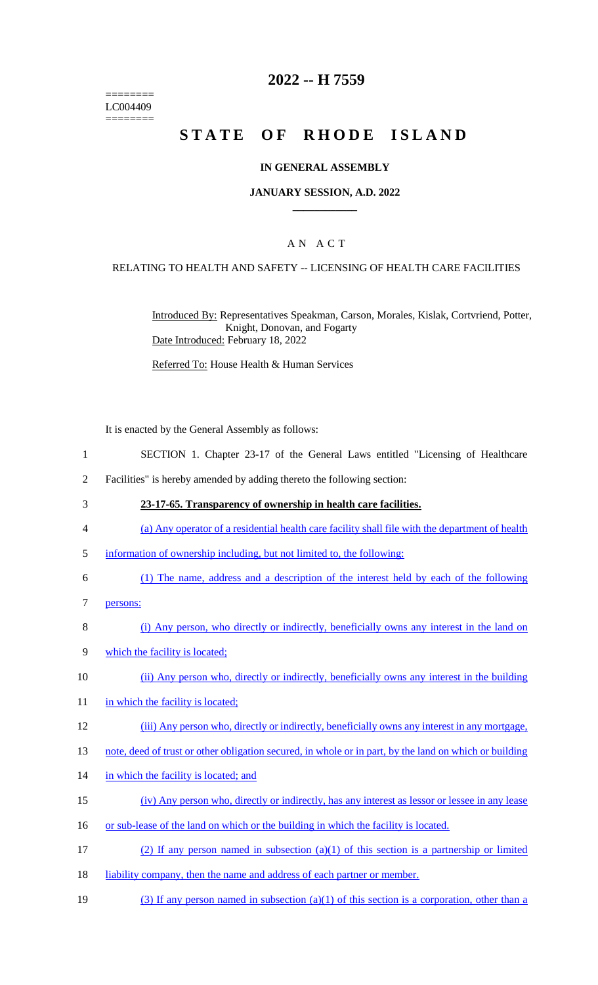======== LC004409 ========

### **2022 -- H 7559**

# **STATE OF RHODE ISLAND**

#### **IN GENERAL ASSEMBLY**

#### **JANUARY SESSION, A.D. 2022 \_\_\_\_\_\_\_\_\_\_\_\_**

### A N A C T

#### RELATING TO HEALTH AND SAFETY -- LICENSING OF HEALTH CARE FACILITIES

Introduced By: Representatives Speakman, Carson, Morales, Kislak, Cortvriend, Potter, Knight, Donovan, and Fogarty Date Introduced: February 18, 2022

Referred To: House Health & Human Services

It is enacted by the General Assembly as follows:

- 1 SECTION 1. Chapter 23-17 of the General Laws entitled "Licensing of Healthcare
- 2 Facilities" is hereby amended by adding thereto the following section:
- 3 **23-17-65. Transparency of ownership in health care facilities.**
- 4 (a) Any operator of a residential health care facility shall file with the department of health
- 5 information of ownership including, but not limited to, the following:
- 6 (1) The name, address and a description of the interest held by each of the following
- 7 persons:
- 8 (i) Any person, who directly or indirectly, beneficially owns any interest in the land on
- 9 which the facility is located;
- 10 (ii) Any person who, directly or indirectly, beneficially owns any interest in the building
- 11 in which the facility is located;
- 12 (iii) Any person who, directly or indirectly, beneficially owns any interest in any mortgage,
- 13 note, deed of trust or other obligation secured, in whole or in part, by the land on which or building
- 14 in which the facility is located; and
- 15 (iv) Any person who, directly or indirectly, has any interest as lessor or lessee in any lease
- 16 or sub-lease of the land on which or the building in which the facility is located.
- 17 (2) If any person named in subsection (a)(1) of this section is a partnership or limited
- 18 liability company, then the name and address of each partner or member.
- 19 (3) If any person named in subsection (a)(1) of this section is a corporation, other than a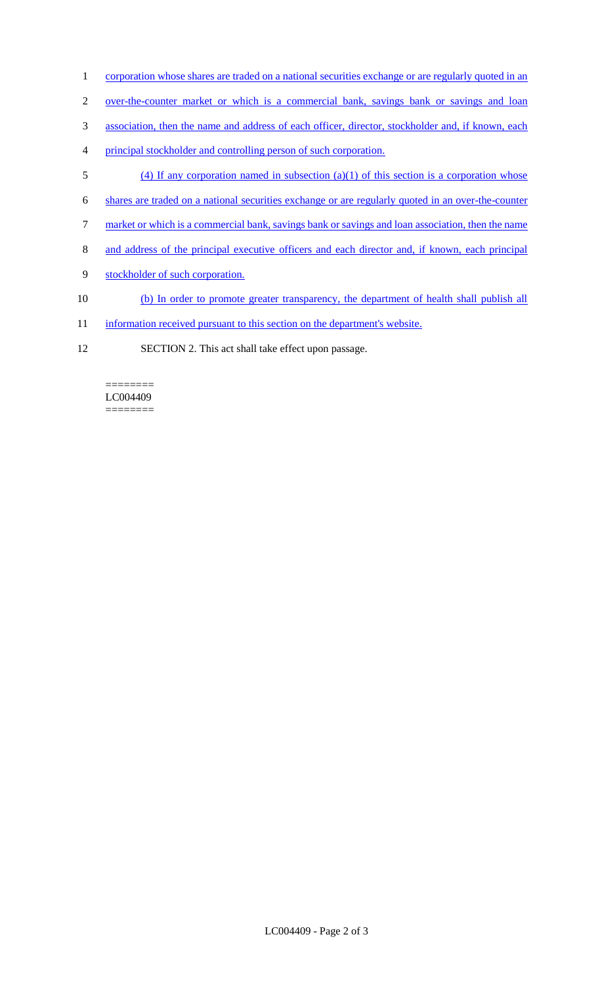- 1 corporation whose shares are traded on a national securities exchange or are regularly quoted in an
- 2 over-the-counter market or which is a commercial bank, savings bank or savings and loan
- 3 association, then the name and address of each officer, director, stockholder and, if known, each
- 4 principal stockholder and controlling person of such corporation.
- 5 (4) If any corporation named in subsection (a)(1) of this section is a corporation whose
- 6 shares are traded on a national securities exchange or are regularly quoted in an over-the-counter
- 7 market or which is a commercial bank, savings bank or savings and loan association, then the name
- 8 and address of the principal executive officers and each director and, if known, each principal
- 9 stockholder of such corporation.
- 10 (b) In order to promote greater transparency, the department of health shall publish all
- 11 information received pursuant to this section on the department's website.
- 12 SECTION 2. This act shall take effect upon passage.

======== LC004409 ========